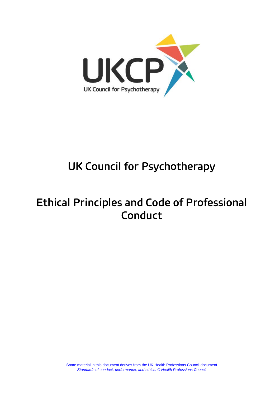

# **UK Council for Psychotherapy**

## **Ethical Principles and Code of Professional Conduct**

Some material in this document derives from the UK Health Professions Council document *Standards of conduct, performance, and ethics. © Health Professions Council*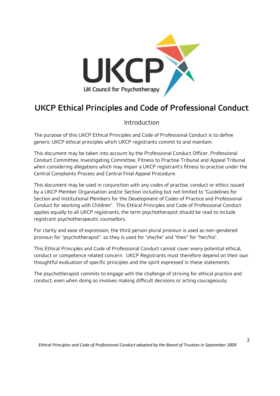

### **UKCP Ethical Principles and Code of Professional Conduct**

### Introduction

The purpose of this UKCP Ethical Principles and Code of Professional Conduct is to define generic UKCP ethical principles which UKCP registrants commit to and maintain.

This document may be taken into account by the Professional Conduct Officer, Professional Conduct Committee, Investigating Committee, Fitness to Practise Tribunal and Appeal Tribunal when considering allegations which may impair a UKCP registrant's fitness to practise under the Central Complaints Process and Central Final Appeal Procedure.

This document may be used in conjunction with any codes of practise, conduct or ethics issued by a UKCP Member Organisation and/or Section including but not limited to "Guidelines for Section and Institutional Members for the Development of Codes of Practice and Professional Conduct for Working with Children". This Ethical Principles and Code of Professional Conduct applies equally to all UKCP registrants, the term psychotherapist should be read to include registrant psychotherapeutic counsellors.

For clarity and ease of expression, the third person plural pronoun is used as non-gendered pronoun for "psychotherapist": so they is used for "she/he" and "their" for "her/his".

This Ethical Principles and Code of Professional Conduct cannot cover every potential ethical, conduct or competence related concern. UKCP Registrants must therefore depend on their own thoughtful evaluation of specific principles and the spirit expressed in these statements.

The psychotherapist commits to engage with the challenge of striving for ethical practice and conduct, even when doing so involves making difficult decisions or acting courageously.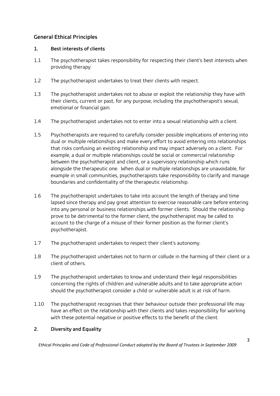#### **General Ethical Principles**

#### **1. Best interests of clients**

- 1.1 The psychotherapist takes responsibility for respecting their client's best interests when providing therapy.
- 1.2 The psychotherapist undertakes to treat their clients with respect.
- 1.3 The psychotherapist undertakes not to abuse or exploit the relationship they have with their clients, current or past, for any purpose, including the psychotherapist's sexual, emotional or financial gain.
- 1.4 The psychotherapist undertakes not to enter into a sexual relationship with a client.
- 1.5 Psychotherapists are required to carefully consider possible implications of entering into dual or multiple relationships and make every effort to avoid entering into relationships that risks confusing an existing relationship and may impact adversely on a client. For example, a dual or multiple relationships could be social or commercial relationship between the psychotherapist and client, or a supervisory relationship which runs alongside the therapeutic one. When dual or multiple relationships are unavoidable, for example in small communities, psychotherapists take responsibility to clarify and manage boundaries and confidentiality of the therapeutic relationship.
- 1.6 The psychotherapist undertakes to take into account the length of therapy and time lapsed since therapy and pay great attention to exercise reasonable care before entering into any personal or business relationships with former clients. Should the relationship prove to be detrimental to the former client, the psychotherapist may be called to account to the charge of a misuse of their former position as the former client's psychotherapist.
- 1.7 The psychotherapist undertakes to respect their client's autonomy.
- 1.8 The psychotherapist undertakes not to harm or collude in the harming of their client or a client of others.
- 1.9 The psychotherapist undertakes to know and understand their legal responsibilities concerning the rights of children and vulnerable adults and to take appropriate action should the psychotherapist consider a child or vulnerable adult is at risk of harm.
- 1.10 The psychotherapist recognises that their behaviour outside their professional life may have an effect on the relationship with their clients and takes responsibility for working with these potential negative or positive effects to the benefit of the client.

#### **2. Diversity and Equality**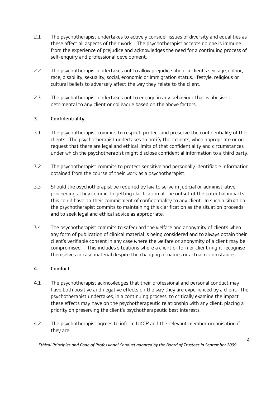- 2.1 The psychotherapist undertakes to actively consider issues of diversity and equalities as these affect all aspects of their work. The psychotherapist accepts no one is immune from the experience of prejudice and acknowledges the need for a continuing process of self-enquiry and professional development.
- 2.2 The psychotherapist undertakes not to allow prejudice about a client's sex, age, colour, race, disability, sexuality, social, economic or immigration status, lifestyle, religious or cultural beliefs to adversely affect the way they relate to the client.
- 2.3 The psychotherapist undertakes not to engage in any behaviour that is abusive or detrimental to any client or colleague based on the above factors.

#### **3. Confidentiality**

- 3.1 The psychotherapist commits to respect, protect and preserve the confidentiality of their clients. The psychotherapist undertakes to notify their clients, when appropriate or on request that there are legal and ethical limits of that confidentiality and circumstances under which the psychotherapist might disclose confidential information to a third party.
- 3.2 The psychotherapist commits to protect sensitive and personally identifiable information obtained from the course of their work as a psychotherapist.
- 3.3 Should the psychotherapist be required by law to serve in judicial or administrative proceedings, they commit to getting clarification at the outset of the potential impacts this could have on their commitment of confidentiality to any client. In such a situation the psychotherapist commits to maintaining this clarification as the situation proceeds and to seek legal and ethical advice as appropriate.
- 3.4 The psychotherapist commits to safeguard the welfare and anonymity of clients when any form of publication of clinical material is being considered and to always obtain their client's verifiable consent in any case where the welfare or anonymity of a client may be compromised. This includes situations where a client or former client might recognise themselves in case material despite the changing of names or actual circumstances.

#### **4. Conduct**

- 4.1 The psychotherapist acknowledges that their professional and personal conduct may have both positive and negative effects on the way they are experienced by a client. The psychotherapist undertakes, in a continuing process, to critically examine the impact these effects may have on the psychotherapeutic relationship with any client, placing a priority on preserving the client's psychotherapeutic best interests.
- 4.2 The psychotherapist agrees to inform UKCP and the relevant member organisation if they are: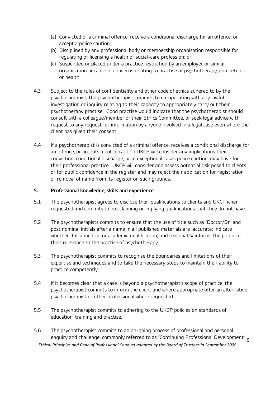- (a) Convicted of a criminal offence, receive a conditional discharge for an offence, or accept a police caution;
- (b) Disciplined by any professional body or membership organisation responsible for regulating or licensing a health or social-care profession; or
- (c) Suspended or placed under a practice restriction by an employer or similar organisation because of concerns relating to practise of psychotherapy, competence or health.
- 4.3 Subject to the rules of confidentiality and other code of ethics adhered to by the psychotherapist, the psychotherapist commits to co-operating with any lawful investigation or inquiry relating to their capacity to appropriately carry out their psychotherapy practise. Good practise would indicate that the psychotherapist should consult with a colleague/member of their Ethics Committee, or seek legal advice with request to any request for information by anyone involved in a legal case even where the client has given their consent.
- 4.4 If a psychotherapist is convicted of a criminal offence, receives a conditional discharge for an offence, or accepts a police caution UKCP will consider any implications their conviction, conditional discharge, or in exceptional cases police caution, may have for their professional practice. UKCP will consider and assess potential risk posed to clients or for public confidence in the register and may reject their application for registration or removal of name from its register on such grounds.

#### **5. Professional knowledge, skills and experience**

- 5.1 The psychotherapist agrees to disclose their qualifications to clients and UKCP when requested and commits to not claiming or implying qualifications that they do not have.
- 5.2 The psychotherapists commits to ensure that the use of title such as "Doctor/Dr" and post nominal initials after a name in all published materials are accurate; indicate whether it is a medical or academic qualification; and reasonably informs the public of their relevance to the practise of psychotherapy.
- 5.3 The psychotherapist commits to recognise the boundaries and limitations of their expertise and techniques and to take the necessary steps to maintain their ability to practice competently.
- 5.4 If it becomes clear that a case is beyond a psychotherapist's scope of practice, the psychotherapist commits to inform the client and where appropriate offer an alternative psychotherapist or other professional where requested.
- 5.5 The psychotherapist commits to adhering to the UKCP policies on standards of education, training and practise.
- *Ethical Principles and Code of Professional Conduct adopted by the Board of Trustees in September 2009* enquiry and challenge, commonly referred to as "Continuing Professional Development" <sub>5</sub> 5.6 The psychotherapist commits to an on-going process of professional and personal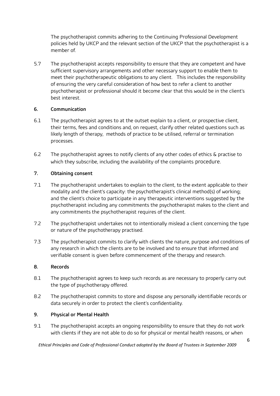The psychotherapist commits adhering to the Continuing Professional Development policies held by UKCP and the relevant section of the UKCP that the psychotherapist is a member of.

5.7 The psychotherapist accepts responsibility to ensure that they are competent and have sufficient supervisory arrangements and other necessary support to enable them to meet their psychotherapeutic obligations to any client. This includes the responsibility of ensuring the very careful consideration of how best to refer a client to another psychotherapist or professional should it become clear that this would be in the client's best interest.

#### **6. Communication**

- 6.1 The psychotherapist agrees to at the outset explain to a client, or prospective client, their terms, fees and conditions and, on request, clarify other related questions such as likely length of therapy, methods of practice to be utilised, referral or termination processes.
- 6.2 The psychotherapist agrees to notify clients of any other codes of ethics & practise to which they subscribe, including the availability of the complaints procedure.

#### **7. Obtaining consent**

- 7.1 The psychotherapist undertakes to explain to the client, to the extent applicable to their modality and the client's capacity: the psychotherapist's clinical method(s) of working; and the client's choice to participate in any therapeutic interventions suggested by the psychotherapist including any commitments the psychotherapist makes to the client and any commitments the psychotherapist requires of the client.
- 7.2 The psychotherapist undertakes not to intentionally mislead a client concerning the type or nature of the psychotherapy practised.
- 7.3 The psychotherapist commits to clarify with clients the nature, purpose and conditions of any research in which the clients are to be involved and to ensure that informed and verifiable consent is given before commencement of the therapy and research.

#### **8. Records**

- 8.1 The psychotherapist agrees to keep such records as are necessary to properly carry out the type of psychotherapy offered.
- 8.2 The psychotherapist commits to store and dispose any personally identifiable records or data securely in order to protect the client's confidentiality.

#### **9. Physical or Mental Health**

9.1 The psychotherapist accepts an ongoing responsibility to ensure that they do not work with clients if they are not able to do so for physical or mental health reasons, or when